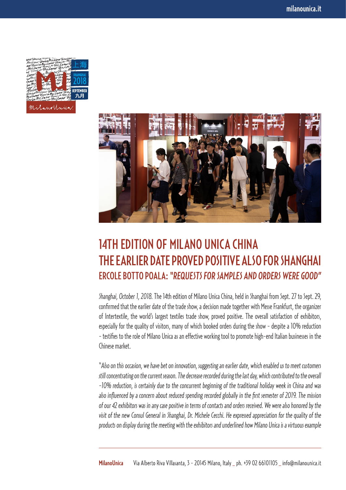



## 14TH EDITION OF MILANO UNICA CHINA THE EARLIER DATE PROVED POSITIVE ALSO FOR SHANGHAI ERCOLE BOTTO POALA: *"REQUESTS FOR SAMPLES AND ORDERS WERE GOOD"*

*Shanghai, October 1, 2018.*The 14th edition of Milano Unica China, held in Shanghai from Sept. 27 to Sept. 29, confirmed that the earlier date of the trade show, a decision made together with Messe Frankfurt, the organizer of Intertextile, the world's largest textiles trade show, proved positive. The overall satisfaction of exhibitors, especially for the quality of visitors, many of which booked orders during the show - despite a 10% reduction - testifies to the role of Milano Unica as an effective working tool to promote high-end Italian businesses in the Chinese market.

"*Also on this occasion, we have bet on innovation, suggesting an earlier date, which enabled us to meet customers still concentrating on the current season. The decrease recorded during the last day, which contributed to the overall -10% reduction, is certainly due to the concurrent beginning of the traditional holiday week in China and was also influenced by a concern about reduced spending recorded globally in the first semester of 2019. The mission of our 42 exhibitors was in any case positive in terms of contacts and orders received. We were also honored by the visit of the new Consul General in Shanghai, Dr. Michele Cecchi. He expressed appreciation for the quality of the products on display during the meeting with the exhibitors and underlined how Milano Unica is a virtuous example*